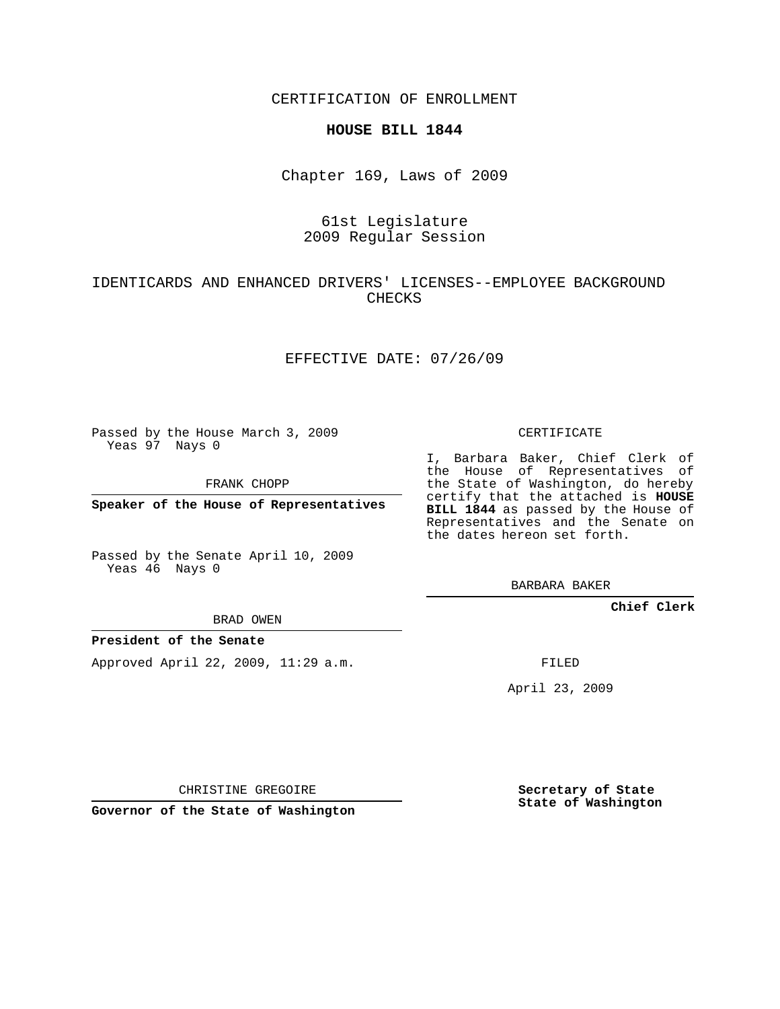CERTIFICATION OF ENROLLMENT

### **HOUSE BILL 1844**

Chapter 169, Laws of 2009

## 61st Legislature 2009 Regular Session

# IDENTICARDS AND ENHANCED DRIVERS' LICENSES--EMPLOYEE BACKGROUND CHECKS

## EFFECTIVE DATE: 07/26/09

Passed by the House March 3, 2009 Yeas 97 Nays 0

FRANK CHOPP

**Speaker of the House of Representatives**

Passed by the Senate April 10, 2009 Yeas 46 Nays 0

BRAD OWEN

#### **President of the Senate**

Approved April 22, 2009, 11:29 a.m.

CERTIFICATE

I, Barbara Baker, Chief Clerk of the House of Representatives of the State of Washington, do hereby certify that the attached is **HOUSE BILL 1844** as passed by the House of Representatives and the Senate on the dates hereon set forth.

BARBARA BAKER

**Chief Clerk**

FILED

April 23, 2009

CHRISTINE GREGOIRE

**Governor of the State of Washington**

**Secretary of State State of Washington**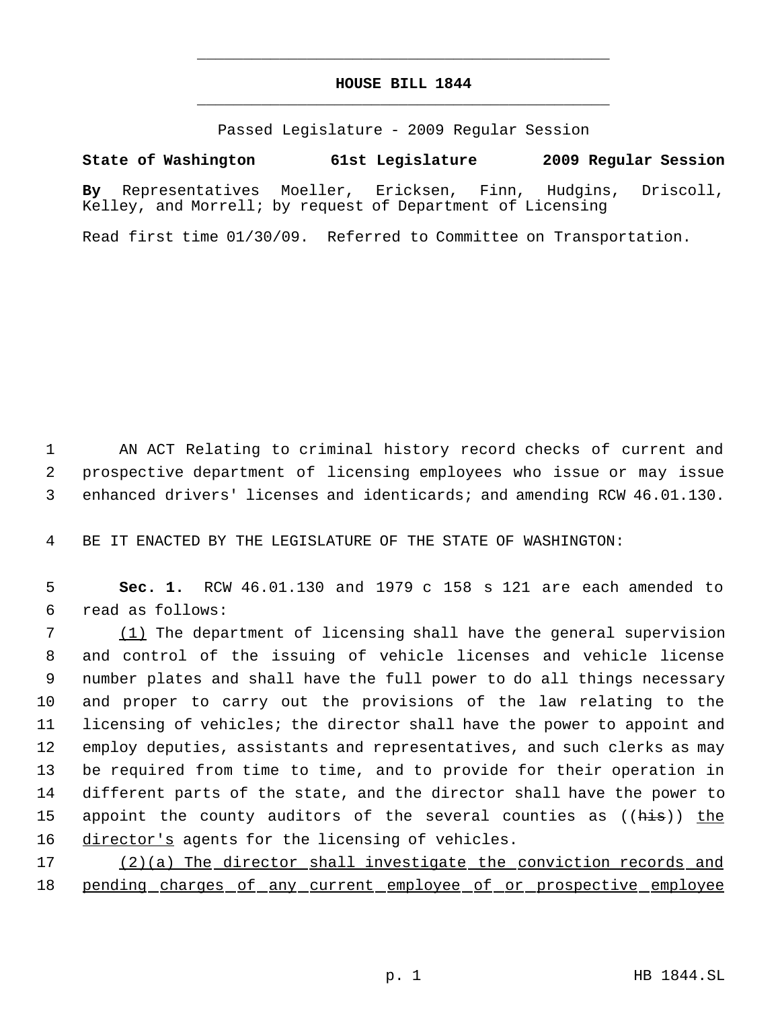# **HOUSE BILL 1844** \_\_\_\_\_\_\_\_\_\_\_\_\_\_\_\_\_\_\_\_\_\_\_\_\_\_\_\_\_\_\_\_\_\_\_\_\_\_\_\_\_\_\_\_\_

\_\_\_\_\_\_\_\_\_\_\_\_\_\_\_\_\_\_\_\_\_\_\_\_\_\_\_\_\_\_\_\_\_\_\_\_\_\_\_\_\_\_\_\_\_

Passed Legislature - 2009 Regular Session

**State of Washington 61st Legislature 2009 Regular Session**

**By** Representatives Moeller, Ericksen, Finn, Hudgins, Driscoll, Kelley, and Morrell; by request of Department of Licensing

Read first time 01/30/09. Referred to Committee on Transportation.

 1 AN ACT Relating to criminal history record checks of current and 2 prospective department of licensing employees who issue or may issue 3 enhanced drivers' licenses and identicards; and amending RCW 46.01.130.

4 BE IT ENACTED BY THE LEGISLATURE OF THE STATE OF WASHINGTON:

 5 **Sec. 1.** RCW 46.01.130 and 1979 c 158 s 121 are each amended to 6 read as follows:

 (1) The department of licensing shall have the general supervision and control of the issuing of vehicle licenses and vehicle license number plates and shall have the full power to do all things necessary and proper to carry out the provisions of the law relating to the licensing of vehicles; the director shall have the power to appoint and employ deputies, assistants and representatives, and such clerks as may be required from time to time, and to provide for their operation in different parts of the state, and the director shall have the power to 15 appoint the county auditors of the several counties as ((his)) the 16 director's agents for the licensing of vehicles.

17 (2)(a) The director shall investigate the conviction records and 18 pending charges of any current employee of or prospective employee